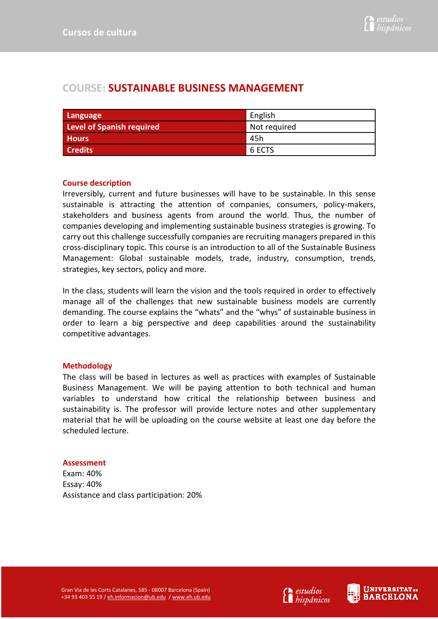# **COURSE: SUSTAINABLE BUSINESS MANAGEMENT**

| Language                  | English      |
|---------------------------|--------------|
| Level of Spanish required | Not required |
| <b>Hours</b>              | 45h          |
| <b>Credits</b>            | 6 ECTS       |

## **Course description**

Irreversibly, current and future businesses will have to be sustainable. In this sense sustainable is attracting the attention of companies, consumers, policy-makers, stakeholders and business agents from around the world. Thus, the number of companies developing and implementing sustainable business strategies is growing. To carry out this challenge successfully companies are recruiting managers prepared in this cross-disciplinary topic. This course is an introduction to all of the Sustainable Business Management: Global sustainable models, trade, industry, consumption, trends, strategies, key sectors, policy and more.

In the class, students will learn the vision and the tools required in order to effectively manage all of the challenges that new sustainable business models are currently demanding. The course explains the "whats" and the "whys" of sustainable business in order to learn a big perspective and deep capabilities around the sustainability competitive advantages.

## **Methodology**

The class will be based in lectures as well as practices with examples of Sustainable Business Management. We will be paying attention to both technical and human variables to understand how critical the relationship between business and sustainability is. The professor will provide lecture notes and other supplementary material that he will be uploading on the course website at least one day before the scheduled lecture.

#### **Assessment**

Exam: 40% Essay: 40% Assistance and class participation: 20%

Gran Via de les Corts Catalanes, 585 - 08007 Barcelona (Spain) +34 93 403 55 19 / eh.informacion@ub.edu / www.eh.ub.edu